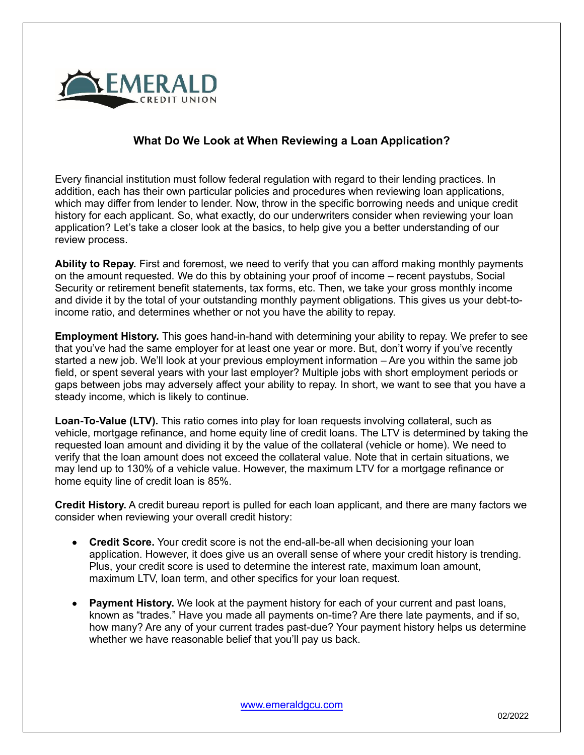

## **What Do We Look at When Reviewing a Loan Application?**

Every financial institution must follow federal regulation with regard to their lending practices. In addition, each has their own particular policies and procedures when reviewing loan applications, which may differ from lender to lender. Now, throw in the specific borrowing needs and unique credit history for each applicant. So, what exactly, do our underwriters consider when reviewing your loan application? Let's take a closer look at the basics, to help give you a better understanding of our review process.

**Ability to Repay.** First and foremost, we need to verify that you can afford making monthly payments on the amount requested. We do this by obtaining your proof of income – recent paystubs, Social Security or retirement benefit statements, tax forms, etc. Then, we take your gross monthly income and divide it by the total of your outstanding monthly payment obligations. This gives us your debt-toincome ratio, and determines whether or not you have the ability to repay.

**Employment History.** This goes hand-in-hand with determining your ability to repay. We prefer to see that you've had the same employer for at least one year or more. But, don't worry if you've recently started a new job. We'll look at your previous employment information – Are you within the same job field, or spent several years with your last employer? Multiple jobs with short employment periods or gaps between jobs may adversely affect your ability to repay. In short, we want to see that you have a steady income, which is likely to continue.

**Loan-To-Value (LTV).** This ratio comes into play for loan requests involving collateral, such as vehicle, mortgage refinance, and home equity line of credit loans. The LTV is determined by taking the requested loan amount and dividing it by the value of the collateral (vehicle or home). We need to verify that the loan amount does not exceed the collateral value. Note that in certain situations, we may lend up to 130% of a vehicle value. However, the maximum LTV for a mortgage refinance or home equity line of credit loan is 85%.

**Credit History.** A credit bureau report is pulled for each loan applicant, and there are many factors we consider when reviewing your overall credit history:

- **Credit Score.** Your credit score is not the end-all-be-all when decisioning your loan application. However, it does give us an overall sense of where your credit history is trending. Plus, your credit score is used to determine the interest rate, maximum loan amount, maximum LTV, loan term, and other specifics for your loan request.
- **Payment History.** We look at the payment history for each of your current and past loans, known as "trades." Have you made all payments on-time? Are there late payments, and if so, how many? Are any of your current trades past-due? Your payment history helps us determine whether we have reasonable belief that you'll pay us back.